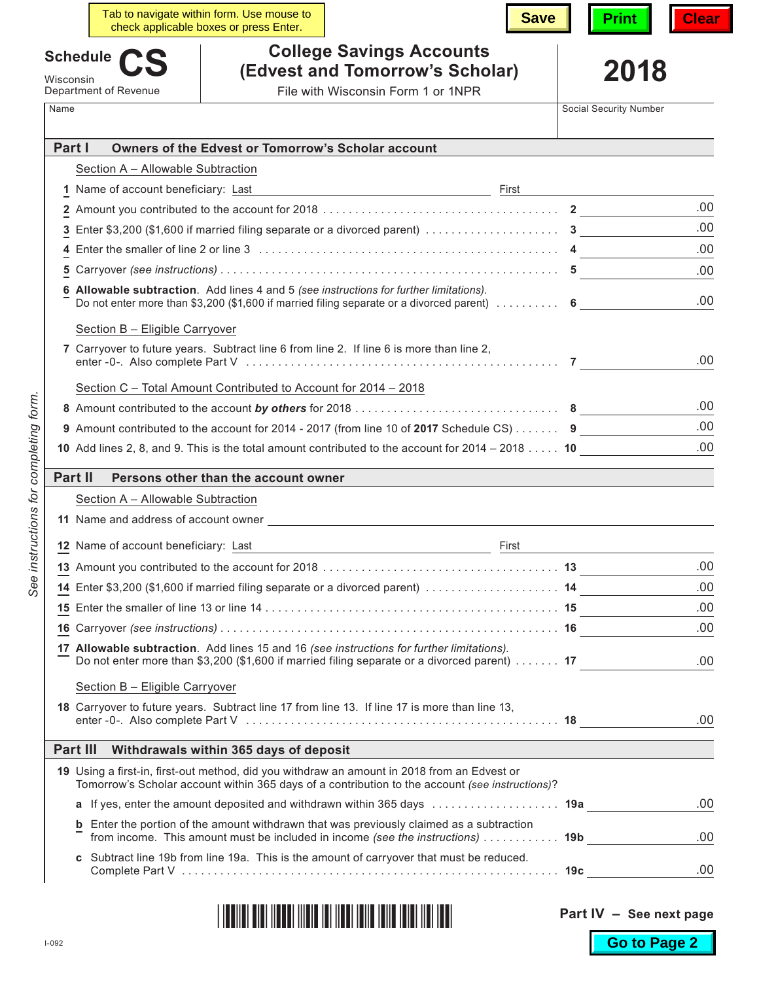|           | Tab to navigate within form. Use mouse to<br><b>Save</b><br>check applicable boxes or press Enter.                                                                                                     | Clear                                           |
|-----------|--------------------------------------------------------------------------------------------------------------------------------------------------------------------------------------------------------|-------------------------------------------------|
|           | <b>College Savings Accounts</b><br><b>Schedule</b>                                                                                                                                                     |                                                 |
| Wisconsin | (Edvest and Tomorrow's Scholar)                                                                                                                                                                        | 2018                                            |
| Name      | File with Wisconsin Form 1 or 1NPR<br>Department of Revenue                                                                                                                                            | Social Security Number                          |
|           |                                                                                                                                                                                                        |                                                 |
| Part I    | Owners of the Edvest or Tomorrow's Scholar account                                                                                                                                                     |                                                 |
|           | Section A - Allowable Subtraction                                                                                                                                                                      |                                                 |
|           |                                                                                                                                                                                                        | First <u>__________________________________</u> |
|           |                                                                                                                                                                                                        | .00.                                            |
|           | 3 Enter \$3,200 (\$1,600 if married filing separate or a divorced parent) $\ldots \ldots \ldots \ldots \ldots$                                                                                         | .00                                             |
| 4         |                                                                                                                                                                                                        | .00                                             |
| 5         |                                                                                                                                                                                                        | .00                                             |
|           | 6 Allowable subtraction. Add lines 4 and 5 (see instructions for further limitations).<br>Do not enter more than \$3,200 (\$1,600 if married filing separate or a divorced parent) $\dots\dots\dots$ 6 | .00                                             |
|           | Section B - Eligible Carryover                                                                                                                                                                         |                                                 |
|           | 7 Carryover to future years. Subtract line 6 from line 2. If line 6 is more than line 2,                                                                                                               | .00                                             |
|           | Section C - Total Amount Contributed to Account for 2014 - 2018                                                                                                                                        |                                                 |
|           |                                                                                                                                                                                                        | .00                                             |
|           | 9 Amount contributed to the account for 2014 - 2017 (from line 10 of 2017 Schedule CS) $\dots \dots$ 9                                                                                                 | .00                                             |
|           | 10 Add lines 2, 8, and 9. This is the total amount contributed to the account for $2014 - 2018$ 10                                                                                                     | .00                                             |
|           | <b>Part II</b><br>Persons other than the account owner                                                                                                                                                 |                                                 |
|           | Section A - Allowable Subtraction                                                                                                                                                                      |                                                 |
|           | 11 Name and address of account owner                                                                                                                                                                   |                                                 |
|           |                                                                                                                                                                                                        |                                                 |
|           | 12 Name of account beneficiary: Last<br>First                                                                                                                                                          |                                                 |
|           |                                                                                                                                                                                                        |                                                 |
|           |                                                                                                                                                                                                        |                                                 |
|           | 14 Enter \$3,200 (\$1,600 if married filing separate or a divorced parent)  14                                                                                                                         | .00                                             |
|           |                                                                                                                                                                                                        | .00                                             |
|           |                                                                                                                                                                                                        | .00                                             |
|           | 17 Allowable subtraction. Add lines 15 and 16 (see instructions for further limitations).<br>Do not enter more than \$3,200 (\$1,600 if married filing separate or a divorced parent) 17               |                                                 |
|           | Section B - Eligible Carryover                                                                                                                                                                         |                                                 |
|           | 18 Carryover to future years. Subtract line 17 from line 13. If line 17 is more than line 13,                                                                                                          | .00<br>.00<br>.00.                              |
|           | Part III<br>Withdrawals within 365 days of deposit                                                                                                                                                     |                                                 |
|           | 19 Using a first-in, first-out method, did you withdraw an amount in 2018 from an Edvest or<br>Tomorrow's Scholar account within 365 days of a contribution to the account (see instructions)?         |                                                 |
|           | a If yes, enter the amount deposited and withdrawn within 365 days  19a                                                                                                                                | .00                                             |
|           | <b>b</b> Enter the portion of the amount withdrawn that was previously claimed as a subtraction<br>from income. This amount must be included in income (see the instructions) 19b                      | .00                                             |

| IT AN IN THE BEAT AND IN THE BEAT AND TO BE A BILLION OF A |
|------------------------------------------------------------|
|------------------------------------------------------------|

 $\Bigg\vert% \begin{array}{cc} \vspace{0.8cm} \vspace{0.8cm} \vspace{0.8cm} \vspace{0.8cm} \vspace{0.8cm} \vspace{0.8cm} \vspace{0.8cm} \vspace{0.8cm} \vspace{0.8cm} \vspace{0.8cm} \vspace{0.8cm} \vspace{0.8cm} \vspace{0.8cm} \vspace{0.8cm} \vspace{0.8cm} \vspace{0.8cm} \vspace{0.8cm} \vspace{0.8cm} \vspace{0.8cm} \vspace{0.8cm} \vspace{0.8cm} \vspace{0.8cm} \vspace{0.8cm}$ 

**Part IV – See next page**

**Go to Page 2**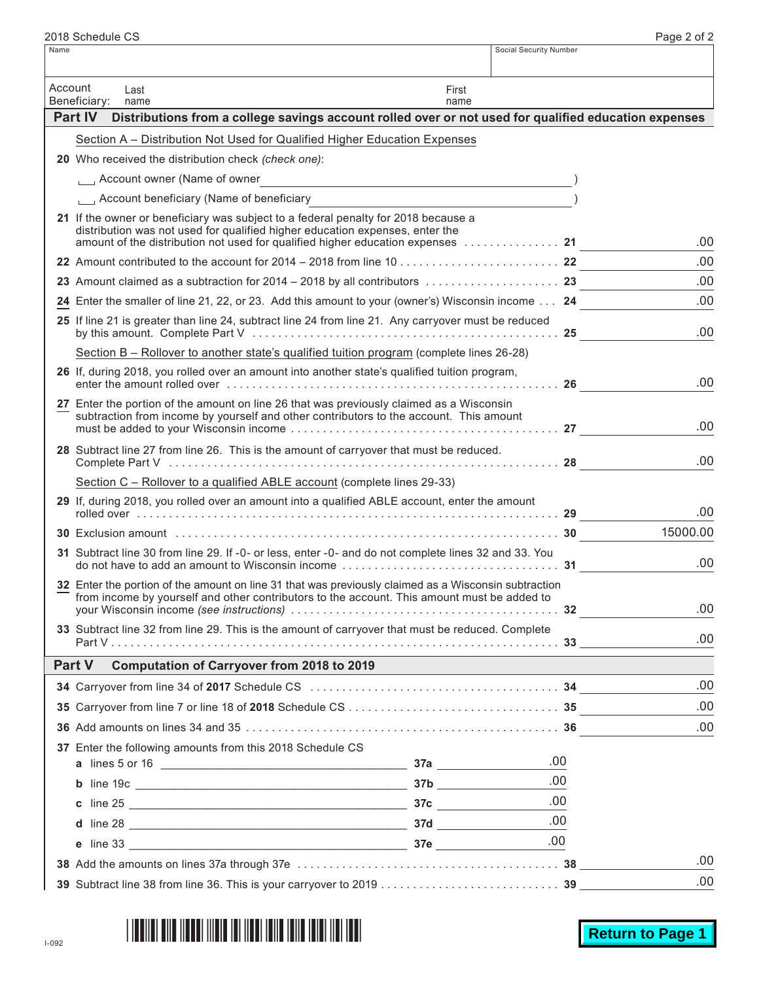| Account | Last<br>Beneficiary:<br>name                                                                                                                                                                                                                          | First<br>name |          |     |
|---------|-------------------------------------------------------------------------------------------------------------------------------------------------------------------------------------------------------------------------------------------------------|---------------|----------|-----|
|         | <b>Part IV</b><br>Distributions from a college savings account rolled over or not used for qualified education expenses                                                                                                                               |               |          |     |
|         | Section A - Distribution Not Used for Qualified Higher Education Expenses                                                                                                                                                                             |               |          |     |
|         | 20 Who received the distribution check (check one):                                                                                                                                                                                                   |               |          |     |
|         |                                                                                                                                                                                                                                                       |               |          |     |
|         | Account beneficiary (Name of beneficiary                                                                                                                                                                                                              |               |          |     |
|         | 21 If the owner or beneficiary was subject to a federal penalty for 2018 because a<br>distribution was not used for qualified higher education expenses, enter the<br>amount of the distribution not used for qualified higher education expenses  21 |               |          | .00 |
|         |                                                                                                                                                                                                                                                       |               |          | .00 |
|         | 23 Amount claimed as a subtraction for $2014 - 2018$ by all contributors $\ldots \ldots \ldots \ldots$                                                                                                                                                |               |          | .00 |
|         | 24 Enter the smaller of line 21, 22, or 23. Add this amount to your (owner's) Wisconsin income 24                                                                                                                                                     |               |          | .00 |
|         | 25 If line 21 is greater than line 24, subtract line 24 from line 21. Any carryover must be reduced                                                                                                                                                   |               |          | .00 |
|         | Section B - Rollover to another state's qualified tuition program (complete lines 26-28)                                                                                                                                                              |               |          |     |
|         | 26 If, during 2018, you rolled over an amount into another state's qualified tuition program,                                                                                                                                                         |               |          | .00 |
|         | 27 Enter the portion of the amount on line 26 that was previously claimed as a Wisconsin<br>subtraction from income by yourself and other contributors to the account. This amount                                                                    |               |          | .00 |
|         | 28 Subtract line 27 from line 26. This is the amount of carryover that must be reduced.                                                                                                                                                               |               | .00      |     |
|         | Section C - Rollover to a qualified ABLE account (complete lines 29-33)                                                                                                                                                                               |               |          |     |
|         | 29 If, during 2018, you rolled over an amount into a qualified ABLE account, enter the amount                                                                                                                                                         |               | .00      |     |
|         |                                                                                                                                                                                                                                                       |               | 15000.00 |     |
|         | 31 Subtract line 30 from line 29. If -0- or less, enter -0- and do not complete lines 32 and 33. You                                                                                                                                                  |               |          | .00 |
|         | 32 Enter the portion of the amount on line 31 that was previously claimed as a Wisconsin subtraction<br>from income by yourself and other contributors to the account. This amount must be added to                                                   |               |          | .00 |
|         | 33 Subtract line 32 from line 29. This is the amount of carryover that must be reduced. Complete                                                                                                                                                      |               |          | .00 |
|         | <b>Computation of Carryover from 2018 to 2019</b><br><b>Part V</b>                                                                                                                                                                                    |               |          |     |
|         |                                                                                                                                                                                                                                                       |               |          | .00 |
|         |                                                                                                                                                                                                                                                       |               |          | .00 |
|         |                                                                                                                                                                                                                                                       |               |          | .00 |
|         | 37 Enter the following amounts from this 2018 Schedule CS                                                                                                                                                                                             |               | .00      |     |
|         |                                                                                                                                                                                                                                                       |               | .00      |     |
|         |                                                                                                                                                                                                                                                       |               | .00      |     |
|         |                                                                                                                                                                                                                                                       |               | .00      |     |
|         |                                                                                                                                                                                                                                                       |               | .00      |     |
|         |                                                                                                                                                                                                                                                       |               |          | .00 |
|         |                                                                                                                                                                                                                                                       |               |          | .00 |

Name Social Security Number

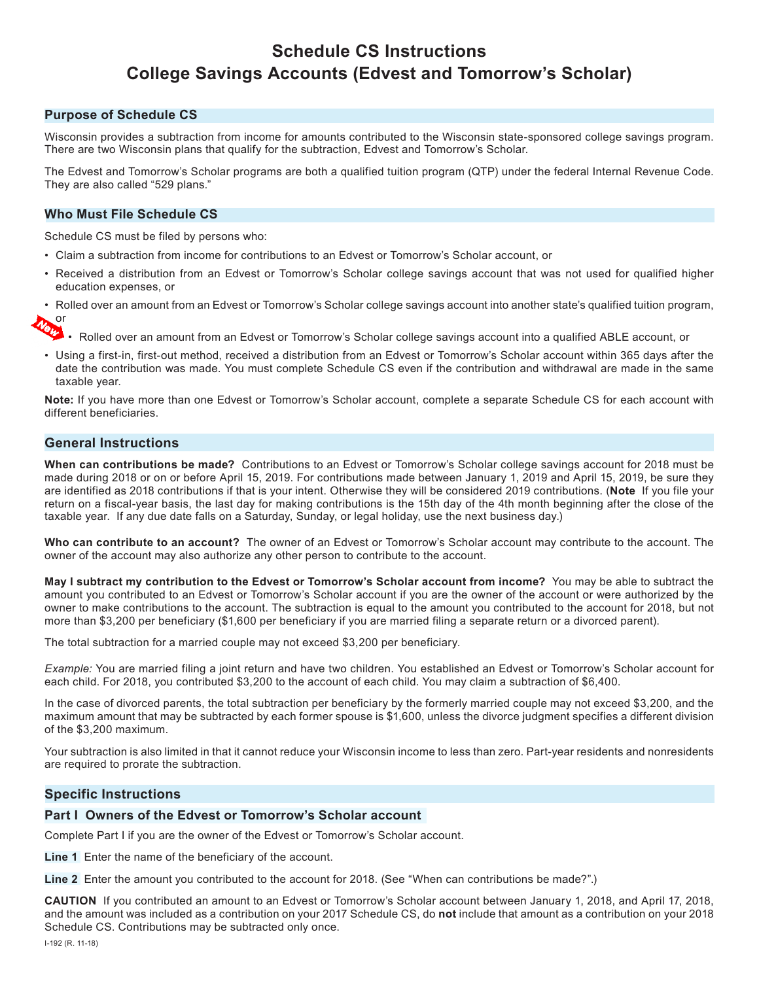# **Schedule CS Instructions College Savings Accounts (Edvest and Tomorrow's Scholar)**

# **Purpose of Schedule CS**

Wisconsin provides a subtraction from income for amounts contributed to the Wisconsin state-sponsored college savings program. There are two Wisconsin plans that qualify for the subtraction, Edvest and Tomorrow's Scholar.

The Edvest and Tomorrow's Scholar programs are both a qualified tuition program (QTP) under the federal Internal Revenue Code. They are also called "529 plans."

# **Who Must File Schedule CS**

Schedule CS must be filed by persons who:

- Claim a subtraction from income for contributions to an Edvest or Tomorrow's Scholar account, or
- Received a distribution from an Edvest or Tomorrow's Scholar college savings account that was not used for qualified higher education expenses, or

• Rolled over an amount from an Edvest or Tomorrow's Scholar college savings account into another state's qualified tuition program, or

 $\bullet$   $\bullet$   $\bullet$  Rolled over an amount from an Edvest or Tomorrow's Scholar college savings account into a qualified ABLE account, or

• Using a first-in, first-out method, received a distribution from an Edvest or Tomorrow's Scholar account within 365 days after the date the contribution was made. You must complete Schedule CS even if the contribution and withdrawal are made in the same taxable year.

**Note:** If you have more than one Edvest or Tomorrow's Scholar account, complete a separate Schedule CS for each account with different beneficiaries.

# **General Instructions**

**When can contributions be made?** Contributions to an Edvest or Tomorrow's Scholar college savings account for 2018 must be made during 2018 or on or before April 15, 2019. For contributions made between January 1, 2019 and April 15, 2019, be sure they are identified as 2018 contributions if that is your intent. Otherwise they will be considered 2019 contributions. (**Note** If you file your return on a fiscal-year basis, the last day for making contributions is the 15th day of the 4th month beginning after the close of the taxable year. If any due date falls on a Saturday, Sunday, or legal holiday, use the next business day.)

**Who can contribute to an account?** The owner of an Edvest or Tomorrow's Scholar account may contribute to the account. The owner of the account may also authorize any other person to contribute to the account.

**May I subtract my contribution to the Edvest or Tomorrow's Scholar account from income?** You may be able to subtract the amount you contributed to an Edvest or Tomorrow's Scholar account if you are the owner of the account or were authorized by the owner to make contributions to the account. The subtraction is equal to the amount you contributed to the account for 2018, but not more than \$3,200 per beneficiary (\$1,600 per beneficiary if you are married filing a separate return or a divorced parent).

The total subtraction for a married couple may not exceed \$3,200 per beneficiary.

*Example:* You are married filing a joint return and have two children. You established an Edvest or Tomorrow's Scholar account for each child. For 2018, you contributed \$3,200 to the account of each child. You may claim a subtraction of \$6,400.

In the case of divorced parents, the total subtraction per beneficiary by the formerly married couple may not exceed \$3,200, and the maximum amount that may be subtracted by each former spouse is \$1,600, unless the divorce judgment specifies a different division of the \$3,200 maximum.

Your subtraction is also limited in that it cannot reduce your Wisconsin income to less than zero. Part-year residents and nonresidents are required to prorate the subtraction.

# **Specific Instructions**

### **Part I Owners of the Edvest or Tomorrow's Scholar account**

Complete Part I if you are the owner of the Edvest or Tomorrow's Scholar account.

**Line 1** Enter the name of the beneficiary of the account.

**Line 2** Enter the amount you contributed to the account for 2018. (See "When can contributions be made?".)

**CAUTION** If you contributed an amount to an Edvest or Tomorrow's Scholar account between January 1, 2018, and April 17, 2018, and the amount was included as a contribution on your 2017 Schedule CS, do **not** include that amount as a contribution on your 2018 Schedule CS. Contributions may be subtracted only once.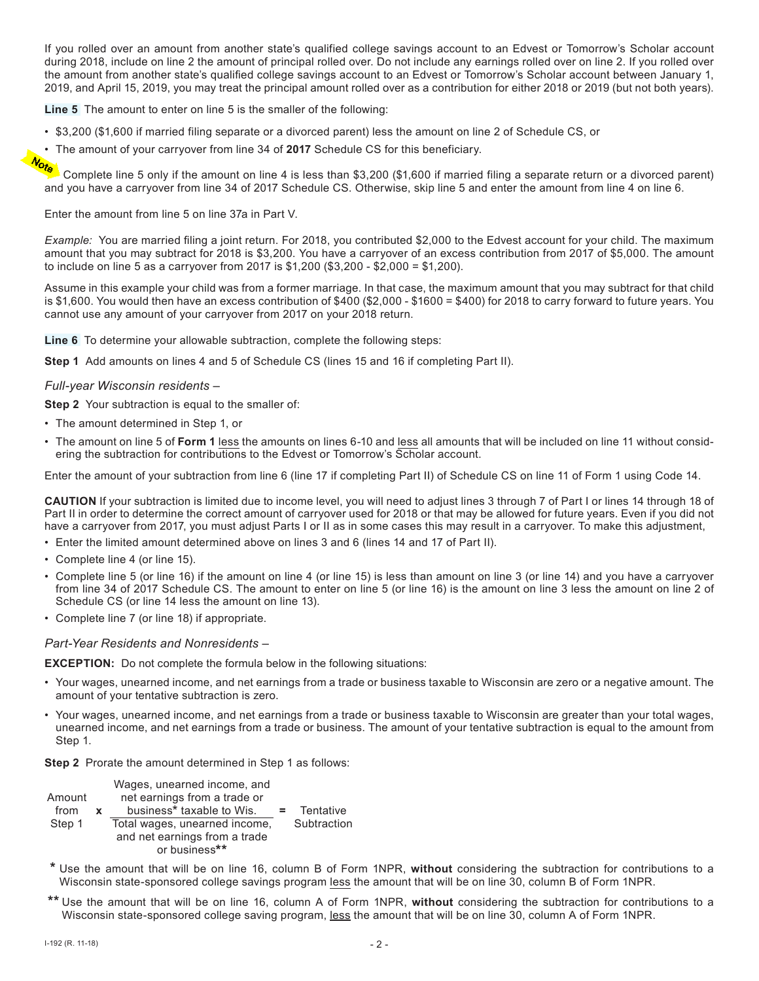If you rolled over an amount from another state's qualified college savings account to an Edvest or Tomorrow's Scholar account during 2018, include on line 2 the amount of principal rolled over. Do not include any earnings rolled over on line 2. If you rolled over the amount from another state's qualified college savings account to an Edvest or Tomorrow's Scholar account between January 1, 2019, and April 15, 2019, you may treat the principal amount rolled over as a contribution for either 2018 or 2019 (but not both years).

**Line 5** The amount to enter on line 5 is the smaller of the following:

- \$3,200 (\$1,600 if married filing separate or a divorced parent) less the amount on line 2 of Schedule CS, or
- The amount of your carryover from line 34 of 2017 Schedule CS for this beneficiary.<br> **More that the contract of married**

Complete line 5 only if the amount on line 4 is less than \$3,200 (\$1,600 if married filing a separate return or a divorced parent) and you have a carryover from line 34 of 2017 Schedule CS. Otherwise, skip line 5 and enter the amount from line 4 on line 6.

Enter the amount from line 5 on line 37a in Part V.

*Example:* You are married filing a joint return. For 2018, you contributed \$2,000 to the Edvest account for your child. The maximum amount that you may subtract for 2018 is \$3,200. You have a carryover of an excess contribution from 2017 of \$5,000. The amount to include on line 5 as a carryover from 2017 is \$1,200 (\$3,200 - \$2,000 = \$1,200).

Assume in this example your child was from a former marriage. In that case, the maximum amount that you may subtract for that child is \$1,600. You would then have an excess contribution of \$400 (\$2,000 - \$1600 = \$400) for 2018 to carry forward to future years. You cannot use any amount of your carryover from 2017 on your 2018 return.

**Line 6** To determine your allowable subtraction, complete the following steps:

**Step 1** Add amounts on lines 4 and 5 of Schedule CS (lines 15 and 16 if completing Part II).

# *Full-year Wisconsin residents –*

**Step 2** Your subtraction is equal to the smaller of:

- The amount determined in Step 1, or
- The amount on line 5 of **Form 1** less the amounts on lines 6-10 and less all amounts that will be included on line 11 without considering the subtraction for contributions to the Edvest or Tomorrow's Scholar account.

Enter the amount of your subtraction from line 6 (line 17 if completing Part II) of Schedule CS on line 11 of Form 1 using Code 14.

**CAUTION** If your subtraction is limited due to income level, you will need to adjust lines 3 through 7 of Part I or lines 14 through 18 of Part II in order to determine the correct amount of carryover used for 2018 or that may be allowed for future years. Even if you did not have a carryover from 2017, you must adjust Parts I or II as in some cases this may result in a carryover. To make this adjustment,

- Enter the limited amount determined above on lines 3 and 6 (lines 14 and 17 of Part II).
- Complete line 4 (or line 15).
- Complete line 5 (or line 16) if the amount on line 4 (or line 15) is less than amount on line 3 (or line 14) and you have a carryover from line 34 of 2017 Schedule CS. The amount to enter on line 5 (or line 16) is the amount on line 3 less the amount on line 2 of Schedule CS (or line 14 less the amount on line 13).
- Complete line 7 (or line 18) if appropriate.

### *Part-Year Residents and Nonresidents –*

**EXCEPTION:** Do not complete the formula below in the following situations:

- Your wages, unearned income, and net earnings from a trade or business taxable to Wisconsin are zero or a negative amount. The amount of your tentative subtraction is zero.
- Your wages, unearned income, and net earnings from a trade or business taxable to Wisconsin are greater than your total wages, unearned income, and net earnings from a trade or business. The amount of your tentative subtraction is equal to the amount from Step 1.

**Step 2** Prorate the amount determined in Step 1 as follows:

| Wages, unearned income, and |                                                                                                                                              |
|-----------------------------|----------------------------------------------------------------------------------------------------------------------------------------------|
|                             | Tentative                                                                                                                                    |
|                             | Subtraction                                                                                                                                  |
|                             |                                                                                                                                              |
|                             |                                                                                                                                              |
|                             | net earnings from a trade or<br>business* taxable to Wis.<br>Total wages, unearned income,<br>and net earnings from a trade<br>or business** |

- **\*** Use the amount that will be on line 16, column B of Form 1NPR, **without** considering the subtraction for contributions to a Wisconsin state-sponsored college savings program less the amount that will be on line 30, column B of Form 1NPR.
- **\*\*** Use the amount that will be on line 16, column A of Form 1NPR, **without** considering the subtraction for contributions to a Wisconsin state-sponsored college saving program, less the amount that will be on line 30, column A of Form 1NPR.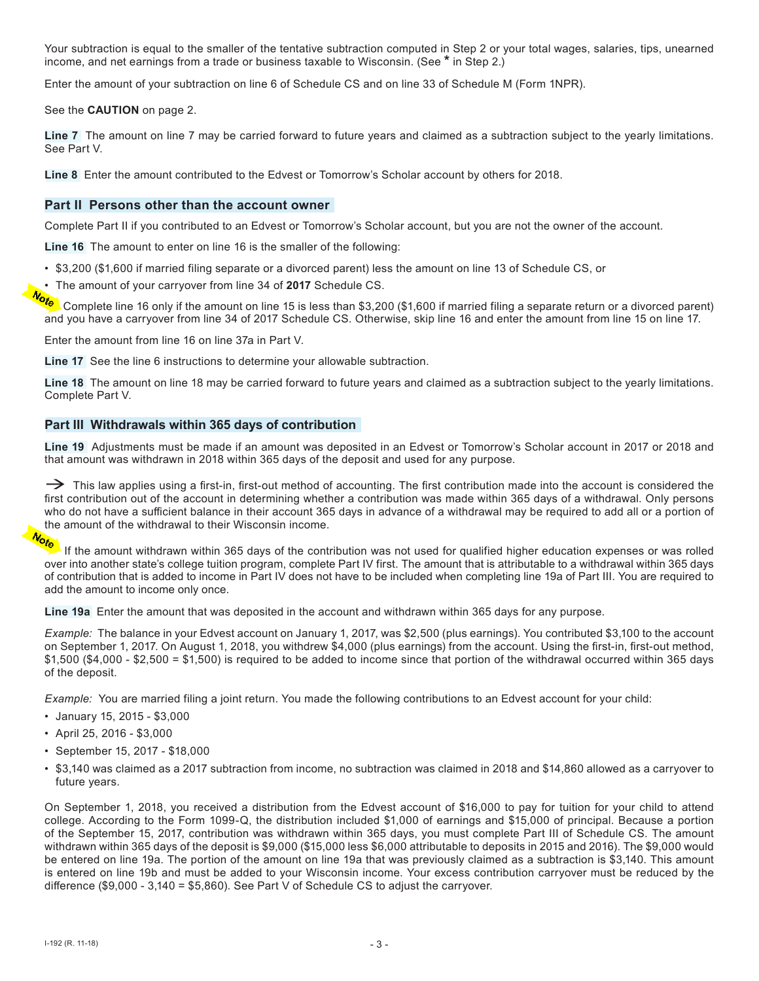Your subtraction is equal to the smaller of the tentative subtraction computed in Step 2 or your total wages, salaries, tips, unearned income, and net earnings from a trade or business taxable to Wisconsin. (See **\*** in Step 2.)

Enter the amount of your subtraction on line 6 of Schedule CS and on line 33 of Schedule M (Form 1NPR).

See the **CAUTION** on page 2.

**Line 7** The amount on line 7 may be carried forward to future years and claimed as a subtraction subject to the yearly limitations. See Part V.

**Line 8** Enter the amount contributed to the Edvest or Tomorrow's Scholar account by others for 2018.

# **Part II Persons other than the account owner**

Complete Part II if you contributed to an Edvest or Tomorrow's Scholar account, but you are not the owner of the account.

**Line 16** The amount to enter on line 16 is the smaller of the following:

- \$3,200 (\$1,600 if married filing separate or a divorced parent) less the amount on line 13 of Schedule CS, or
- The amount of your carryover from line 34 of **2017** Schedule CS.

Complete line 16 only if the amount on line 15 is less than \$3,200 (\$1,600 if married filing a separate return or a divorced parent) and you have a carryover from line 34 of 2017 Schedule CS. Otherwise, skip line 16 and enter the amount from line 15 on line 17.

Enter the amount from line 16 on line 37a in Part V.

**Line 17** See the line 6 instructions to determine your allowable subtraction.

**Line 18** The amount on line 18 may be carried forward to future years and claimed as a subtraction subject to the yearly limitations. Complete Part V.

# **Part III Withdrawals within 365 days of contribution**

**Line 19** Adjustments must be made if an amount was deposited in an Edvest or Tomorrow's Scholar account in 2017 or 2018 and that amount was withdrawn in 2018 within 365 days of the deposit and used for any purpose.

 $\rightarrow$  This law applies using a first-in, first-out method of accounting. The first contribution made into the account is considered the first contribution out of the account in determining whether a contribution was made within 365 days of a withdrawal. Only persons who do not have a sufficient balance in their account 365 days in advance of a withdrawal may be required to add all or a portion of the amount of the withdrawal to their Wisconsin income.

If the amount withdrawn within 365 days of the contribution was not used for qualified higher education expenses or was rolled over into another state's college tuition program, complete Part IV first. The amount that is attributable to a withdrawal within 365 days of contribution that is added to income in Part IV does not have to be included when completing line 19a of Part III. You are required to add the amount to income only once.

**Line 19a** Enter the amount that was deposited in the account and withdrawn within 365 days for any purpose.

*Example:* The balance in your Edvest account on January 1, 2017, was \$2,500 (plus earnings). You contributed \$3,100 to the account on September 1, 2017. On August 1, 2018, you withdrew \$4,000 (plus earnings) from the account. Using the first-in, first-out method, \$1,500 (\$4,000 - \$2,500 = \$1,500) is required to be added to income since that portion of the withdrawal occurred within 365 days of the deposit.

*Example:* You are married filing a joint return. You made the following contributions to an Edvest account for your child:

- January 15, 2015 \$3,000
- April 25, 2016 \$3,000
- September 15, 2017 \$18,000
- \$3,140 was claimed as a 2017 subtraction from income, no subtraction was claimed in 2018 and \$14,860 allowed as a carryover to future years.

On September 1, 2018, you received a distribution from the Edvest account of \$16,000 to pay for tuition for your child to attend college. According to the Form 1099-Q, the distribution included \$1,000 of earnings and \$15,000 of principal. Because a portion of the September 15, 2017, contribution was withdrawn within 365 days, you must complete Part III of Schedule CS. The amount withdrawn within 365 days of the deposit is \$9,000 (\$15,000 less \$6,000 attributable to deposits in 2015 and 2016). The \$9,000 would be entered on line 19a. The portion of the amount on line 19a that was previously claimed as a subtraction is \$3,140. This amount is entered on line 19b and must be added to your Wisconsin income. Your excess contribution carryover must be reduced by the difference (\$9,000 - 3,140 = \$5,860). See Part V of Schedule CS to adjust the carryover.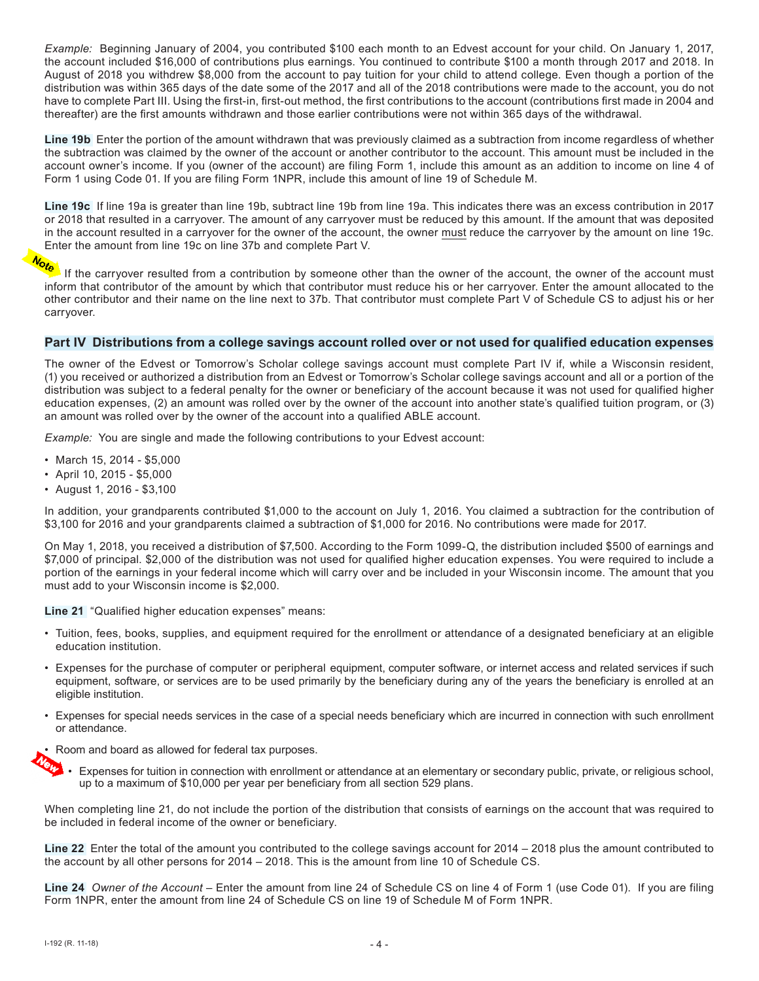*Example:* Beginning January of 2004, you contributed \$100 each month to an Edvest account for your child. On January 1, 2017, the account included \$16,000 of contributions plus earnings. You continued to contribute \$100 a month through 2017 and 2018. In August of 2018 you withdrew \$8,000 from the account to pay tuition for your child to attend college. Even though a portion of the distribution was within 365 days of the date some of the 2017 and all of the 2018 contributions were made to the account, you do not have to complete Part III. Using the first-in, first-out method, the first contributions to the account (contributions first made in 2004 and thereafter) are the first amounts withdrawn and those earlier contributions were not within 365 days of the withdrawal.

**Line 19b** Enter the portion of the amount withdrawn that was previously claimed as a subtraction from income regardless of whether the subtraction was claimed by the owner of the account or another contributor to the account. This amount must be included in the account owner's income. If you (owner of the account) are filing Form 1, include this amount as an addition to income on line 4 of Form 1 using Code 01. If you are filing Form 1NPR, include this amount of line 19 of Schedule M.

**Line 19c** If line 19a is greater than line 19b, subtract line 19b from line 19a. This indicates there was an excess contribution in 2017 or 2018 that resulted in a carryover. The amount of any carryover must be reduced by this amount. If the amount that was deposited in the account resulted in a carryover for the owner of the account, the owner must reduce the carryover by the amount on line 19c. Enter the amount from line 19c on line 37b and complete Part V.<br>The complete Part V.

If the carryover resulted from a contribution by someone other than the owner of the account, the owner of the account must inform that contributor of the amount by which that contributor must reduce his or her carryover. Enter the amount allocated to the other contributor and their name on the line next to 37b. That contributor must complete Part V of Schedule CS to adjust his or her carryover.

# **Part IV Distributions from a college savings account rolled over or not used for qualified education expenses**

The owner of the Edvest or Tomorrow's Scholar college savings account must complete Part IV if, while a Wisconsin resident, (1) you received or authorized a distribution from an Edvest or Tomorrow's Scholar college savings account and all or a portion of the distribution was subject to a federal penalty for the owner or beneficiary of the account because it was not used for qualified higher education expenses, (2) an amount was rolled over by the owner of the account into another state's qualified tuition program, or (3) an amount was rolled over by the owner of the account into a qualified ABLE account.

*Example:* You are single and made the following contributions to your Edvest account:

- March 15, 2014 \$5,000
- April 10, 2015 \$5,000
- August 1, 2016 \$3,100

In addition, your grandparents contributed \$1,000 to the account on July 1, 2016. You claimed a subtraction for the contribution of \$3,100 for 2016 and your grandparents claimed a subtraction of \$1,000 for 2016. No contributions were made for 2017.

On May 1, 2018, you received a distribution of \$7,500. According to the Form 1099-Q, the distribution included \$500 of earnings and \$7,000 of principal. \$2,000 of the distribution was not used for qualified higher education expenses. You were required to include a portion of the earnings in your federal income which will carry over and be included in your Wisconsin income. The amount that you must add to your Wisconsin income is \$2,000.

**Line 21** "Qualified higher education expenses" means:

- Tuition, fees, books, supplies, and equipment required for the enrollment or attendance of a designated beneficiary at an eligible education institution.
- Expenses for the purchase of computer or peripheral equipment, computer software, or internet access and related services if such equipment, software, or services are to be used primarily by the beneficiary during any of the years the beneficiary is enrolled at an eligible institution.
- Expenses for special needs services in the case of a special needs beneficiary which are incurred in connection with such enrollment or attendance.



• Expenses for tuition in connection with enrollment or attendance at an elementary or secondary public, private, or religious school, up to a maximum of \$10,000 per year per beneficiary from all section 529 plans.

When completing line 21, do not include the portion of the distribution that consists of earnings on the account that was required to be included in federal income of the owner or beneficiary.

**Line 22** Enter the total of the amount you contributed to the college savings account for 2014 – 2018 plus the amount contributed to the account by all other persons for 2014 – 2018. This is the amount from line 10 of Schedule CS.

**Line 24** *Owner of the Account* – Enter the amount from line 24 of Schedule CS on line 4 of Form 1 (use Code 01). If you are filing Form 1NPR, enter the amount from line 24 of Schedule CS on line 19 of Schedule M of Form 1NPR.